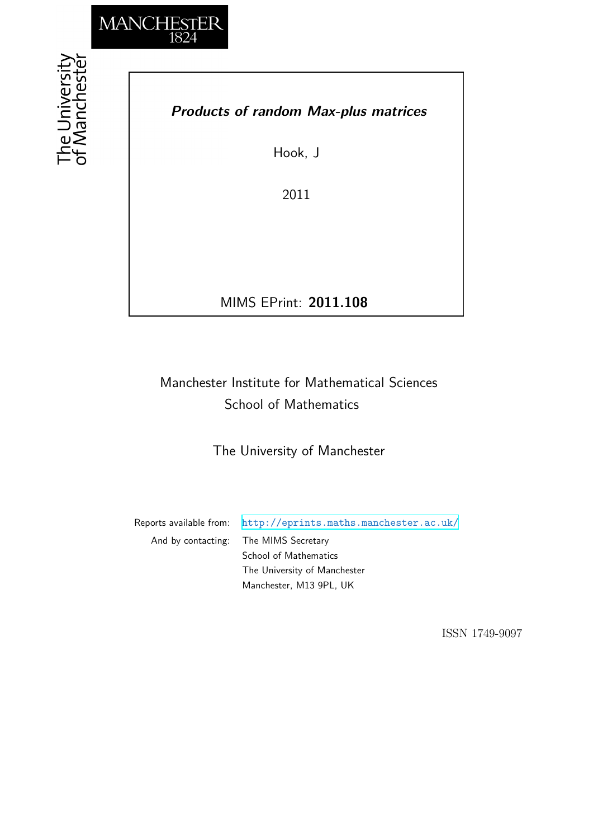

## *Products of random Max-plus matrices*

Hook, J

2011

MIMS EPrint: **2011.108**

# Manchester Institute for Mathematical Sciences School of Mathematics

The University of Manchester

Reports available from: <http://eprints.maths.manchester.ac.uk/> And by contacting: The MIMS Secretary School of Mathematics The University of Manchester

Manchester, M13 9PL, UK

ISSN 1749-9097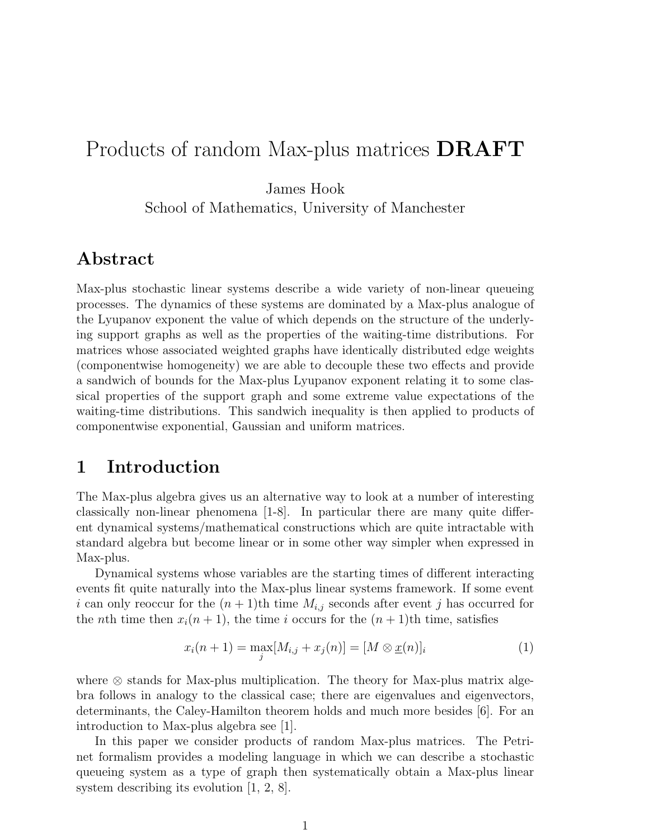# Products of random Max-plus matrices DRAFT

James Hook

School of Mathematics, University of Manchester

## Abstract

Max-plus stochastic linear systems describe a wide variety of non-linear queueing processes. The dynamics of these systems are dominated by a Max-plus analogue of the Lyupanov exponent the value of which depends on the structure of the underlying support graphs as well as the properties of the waiting-time distributions. For matrices whose associated weighted graphs have identically distributed edge weights (componentwise homogeneity) we are able to decouple these two effects and provide a sandwich of bounds for the Max-plus Lyupanov exponent relating it to some classical properties of the support graph and some extreme value expectations of the waiting-time distributions. This sandwich inequality is then applied to products of componentwise exponential, Gaussian and uniform matrices.

### 1 Introduction

The Max-plus algebra gives us an alternative way to look at a number of interesting classically non-linear phenomena [1-8]. In particular there are many quite different dynamical systems/mathematical constructions which are quite intractable with standard algebra but become linear or in some other way simpler when expressed in Max-plus.

Dynamical systems whose variables are the starting times of different interacting events fit quite naturally into the Max-plus linear systems framework. If some event i can only reoccur for the  $(n+1)$ th time  $M_{i,j}$  seconds after event j has occurred for the *n*th time then  $x_i(n + 1)$ , the time *i* occurs for the  $(n + 1)$ th time, satisfies

$$
x_i(n+1) = \max_j [M_{i,j} + x_j(n)] = [M \otimes \underline{x}(n)]_i
$$
 (1)

where ⊗ stands for Max-plus multiplication. The theory for Max-plus matrix algebra follows in analogy to the classical case; there are eigenvalues and eigenvectors, determinants, the Caley-Hamilton theorem holds and much more besides [6]. For an introduction to Max-plus algebra see [1].

In this paper we consider products of random Max-plus matrices. The Petrinet formalism provides a modeling language in which we can describe a stochastic queueing system as a type of graph then systematically obtain a Max-plus linear system describing its evolution  $\vert 1, 2, 8 \vert$ .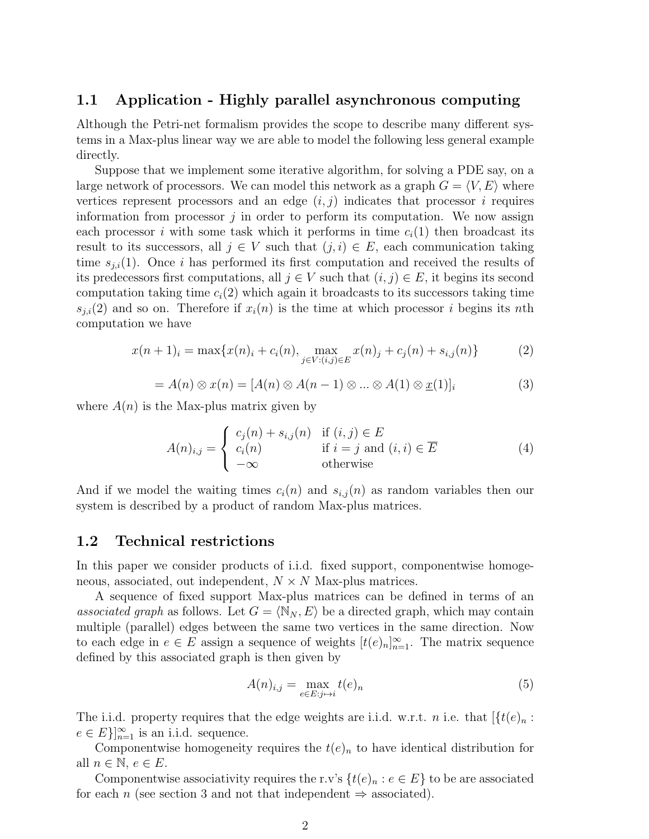#### 1.1 Application - Highly parallel asynchronous computing

Although the Petri-net formalism provides the scope to describe many different systems in a Max-plus linear way we are able to model the following less general example directly.

Suppose that we implement some iterative algorithm, for solving a PDE say, on a large network of processors. We can model this network as a graph  $G = \langle V, E \rangle$  where vertices represent processors and an edge  $(i, j)$  indicates that processor i requires information from processor  $j$  in order to perform its computation. We now assign each processor i with some task which it performs in time  $c<sub>i</sub>(1)$  then broadcast its result to its successors, all  $j \in V$  such that  $(j, i) \in E$ , each communication taking time  $s_{i,i}(1)$ . Once i has performed its first computation and received the results of its predecessors first computations, all  $j \in V$  such that  $(i, j) \in E$ , it begins its second computation taking time  $c_i(2)$  which again it broadcasts to its successors taking time  $s_{i,i}(2)$  and so on. Therefore if  $x_i(n)$  is the time at which processor i begins its nth computation we have

$$
x(n+1)_i = \max\{x(n)_i + c_i(n), \max_{j \in V : (i,j) \in E} x(n)_j + c_j(n) + s_{i,j}(n)\}
$$
(2)

$$
= A(n) \otimes x(n) = [A(n) \otimes A(n-1) \otimes \dots \otimes A(1) \otimes \underline{x}(1)]_i
$$
 (3)

where  $A(n)$  is the Max-plus matrix given by

$$
A(n)_{i,j} = \begin{cases} c_j(n) + s_{i,j}(n) & \text{if } (i,j) \in E \\ c_i(n) & \text{if } i = j \text{ and } (i,i) \in \overline{E} \\ -\infty & \text{otherwise} \end{cases}
$$
 (4)

And if we model the waiting times  $c_i(n)$  and  $s_{i,j}(n)$  as random variables then our system is described by a product of random Max-plus matrices.

#### 1.2 Technical restrictions

In this paper we consider products of i.i.d. fixed support, componentwise homogeneous, associated, out independent,  $N \times N$  Max-plus matrices.

A sequence of fixed support Max-plus matrices can be defined in terms of an associated graph as follows. Let  $G = \langle \mathbb{N}_N, E \rangle$  be a directed graph, which may contain multiple (parallel) edges between the same two vertices in the same direction. Now to each edge in  $e \in E$  assign a sequence of weights  $[t(e)_n]_{n=1}^{\infty}$ . The matrix sequence defined by this associated graph is then given by

$$
A(n)_{i,j} = \max_{e \in E: j \mapsto i} t(e)_n \tag{5}
$$

The i.i.d. property requires that the edge weights are i.i.d. w.r.t. *n* i.e. that  $\left[\frac{f(e)}{n}\right]$ :  $e \in E\}_{n=1}^{\infty}$  is an i.i.d. sequence.

Componentwise homogeneity requires the  $t(e)<sub>n</sub>$  to have identical distribution for all  $n \in \mathbb{N}, e \in E$ .

Componentwise associativity requires the r.v's  $\{t(e)_n : e \in E\}$  to be are associated for each n (see section 3 and not that independent  $\Rightarrow$  associated).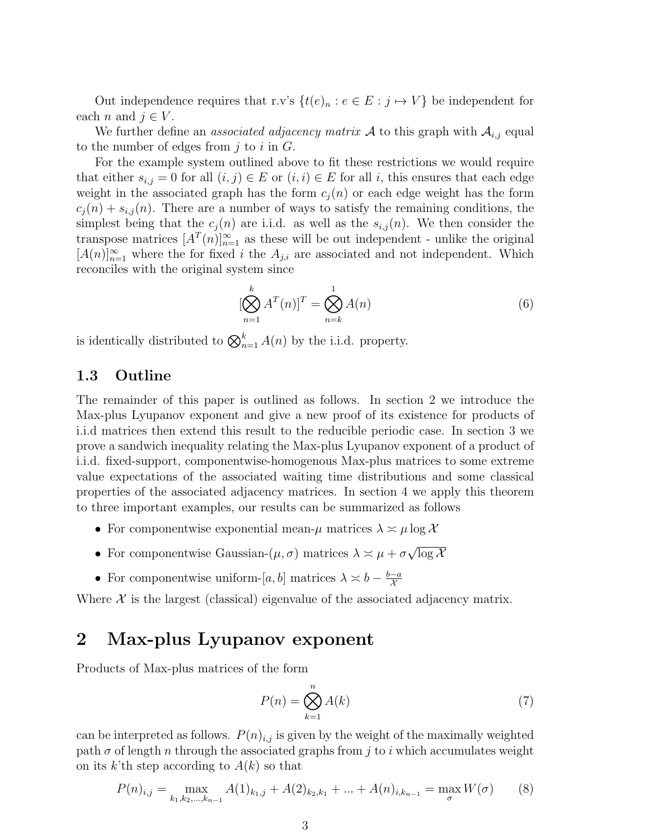Out independence requires that r.v's  $\{t(e)_n : e \in E : j \mapsto V\}$  be independent for each *n* and  $j \in V$ .

We further define an *associated adjacency matrix* A to this graph with  $A_{i,j}$  equal to the number of edges from  $j$  to  $i$  in  $G$ .

For the example system outlined above to fit these restrictions we would require that either  $s_{i,j} = 0$  for all  $(i,j) \in E$  or  $(i,i) \in E$  for all i, this ensures that each edge weight in the associated graph has the form  $c<sub>i</sub>(n)$  or each edge weight has the form  $c_j(n) + s_{i,j}(n)$ . There are a number of ways to satisfy the remaining conditions, the simplest being that the  $c_i(n)$  are i.i.d. as well as the  $s_{i,j}(n)$ . We then consider the transpose matrices  $[A^T(n)]_{n=1}^{\infty}$  as these will be out independent - unlike the original  $[A(n)]_{n=1}^{\infty}$  where the for fixed i the  $A_{j,i}$  are associated and not independent. Which reconciles with the original system since

$$
[\bigotimes_{n=1}^{k} A^{T}(n)]^{T} = \bigotimes_{n=k}^{1} A(n)
$$
\n(6)

is identically distributed to  $\bigotimes_{n=1}^{k} A(n)$  by the i.i.d. property.

#### 1.3 Outline

The remainder of this paper is outlined as follows. In section 2 we introduce the Max-plus Lyupanov exponent and give a new proof of its existence for products of i.i.d matrices then extend this result to the reducible periodic case. In section 3 we prove a sandwich inequality relating the Max-plus Lyupanov exponent of a product of i.i.d. fixed-support, componentwise-homogenous Max-plus matrices to some extreme value expectations of the associated waiting time distributions and some classical properties of the associated adjacency matrices. In section 4 we apply this theorem to three important examples, our results can be summarized as follows

- For componentwise exponential mean- $\mu$  matrices  $\lambda \approx \mu \log \mathcal{X}$
- For componentwise Gaussian- $(\mu, \sigma)$  matrices  $\lambda \approx \mu + \sigma$ √  $\overline{\log\mathcal{X}}$
- For componentwise uniform-[a, b] matrices  $\lambda \times b \frac{b-a}{\lambda}$  $\mathcal{X}_{0}^{(n)}$

Where  $X$  is the largest (classical) eigenvalue of the associated adjacency matrix.

### 2 Max-plus Lyupanov exponent

Products of Max-plus matrices of the form

$$
P(n) = \bigotimes_{k=1}^{n} A(k)
$$
\n(7)

can be interpreted as follows.  $P(n)_{i,j}$  is given by the weight of the maximally weighted path  $\sigma$  of length n through the associated graphs from j to i which accumulates weight on its k'th step according to  $A(k)$  so that

$$
P(n)_{i,j} = \max_{k_1, k_2, \dots, k_{n-1}} A(1)_{k_1, j} + A(2)_{k_2, k_1} + \dots + A(n)_{i, k_{n-1}} = \max_{\sigma} W(\sigma) \tag{8}
$$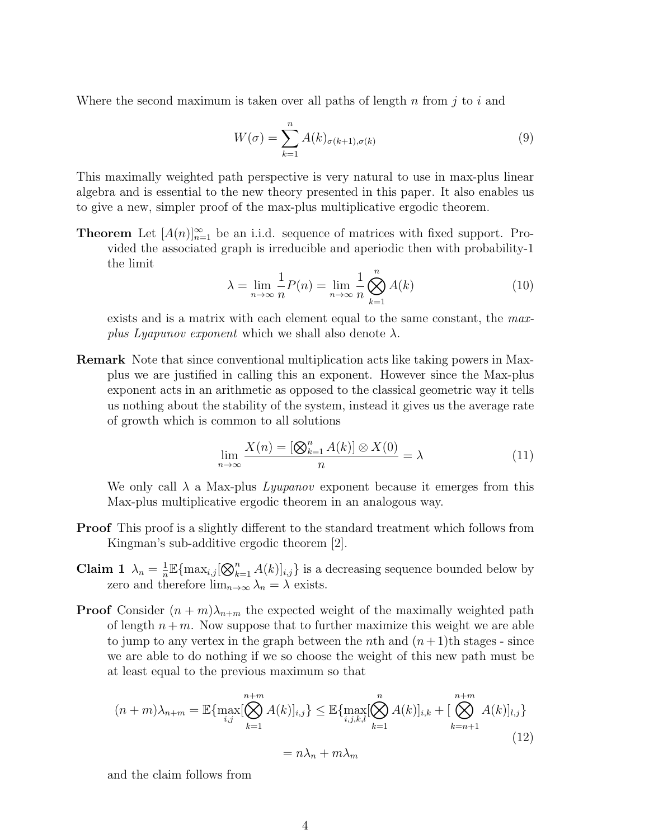Where the second maximum is taken over all paths of length  $n$  from  $j$  to  $i$  and

$$
W(\sigma) = \sum_{k=1}^{n} A(k)_{\sigma(k+1), \sigma(k)}
$$
\n(9)

This maximally weighted path perspective is very natural to use in max-plus linear algebra and is essential to the new theory presented in this paper. It also enables us to give a new, simpler proof of the max-plus multiplicative ergodic theorem.

**Theorem** Let  $[A(n)]_{n=1}^{\infty}$  be an i.i.d. sequence of matrices with fixed support. Provided the associated graph is irreducible and aperiodic then with probability-1 the limit

$$
\lambda = \lim_{n \to \infty} \frac{1}{n} P(n) = \lim_{n \to \infty} \frac{1}{n} \bigotimes_{k=1}^{n} A(k)
$$
\n(10)

exists and is a matrix with each element equal to the same constant, the maxplus Lyapunov exponent which we shall also denote  $\lambda$ .

Remark Note that since conventional multiplication acts like taking powers in Maxplus we are justified in calling this an exponent. However since the Max-plus exponent acts in an arithmetic as opposed to the classical geometric way it tells us nothing about the stability of the system, instead it gives us the average rate of growth which is common to all solutions

$$
\lim_{n \to \infty} \frac{X(n) = [\bigotimes_{k=1}^{n} A(k)] \otimes X(0)}{n} = \lambda
$$
\n(11)

We only call  $\lambda$  a Max-plus *Lyupanov* exponent because it emerges from this Max-plus multiplicative ergodic theorem in an analogous way.

- Proof This proof is a slightly different to the standard treatment which follows from Kingman's sub-additive ergodic theorem [2].
- Claim 1  $\lambda_n = \frac{1}{n}$  $\frac{1}{n} \mathbb{E} \{\max_{i,j} [\bigotimes_{k=1}^{n} A(k)]_{i,j}\}$  is a decreasing sequence bounded below by zero and therefore  $\lim_{n\to\infty}\lambda_n=\lambda$  exists.
- **Proof** Consider  $(n + m)\lambda_{n+m}$  the expected weight of the maximally weighted path of length  $n + m$ . Now suppose that to further maximize this weight we are able to jump to any vertex in the graph between the *n*th and  $(n+1)$ th stages - since we are able to do nothing if we so choose the weight of this new path must be at least equal to the previous maximum so that

$$
(n+m)\lambda_{n+m} = \mathbb{E}\{\max_{i,j}[\bigotimes_{k=1}^{n+m} A(k)]_{i,j}\} \leq \mathbb{E}\{\max_{i,j,k,l}[\bigotimes_{k=1}^{n} A(k)]_{i,k} + [\bigotimes_{k=n+1}^{n+m} A(k)]_{l,j}\}
$$

$$
= n\lambda_n + m\lambda_m
$$
(12)

and the claim follows from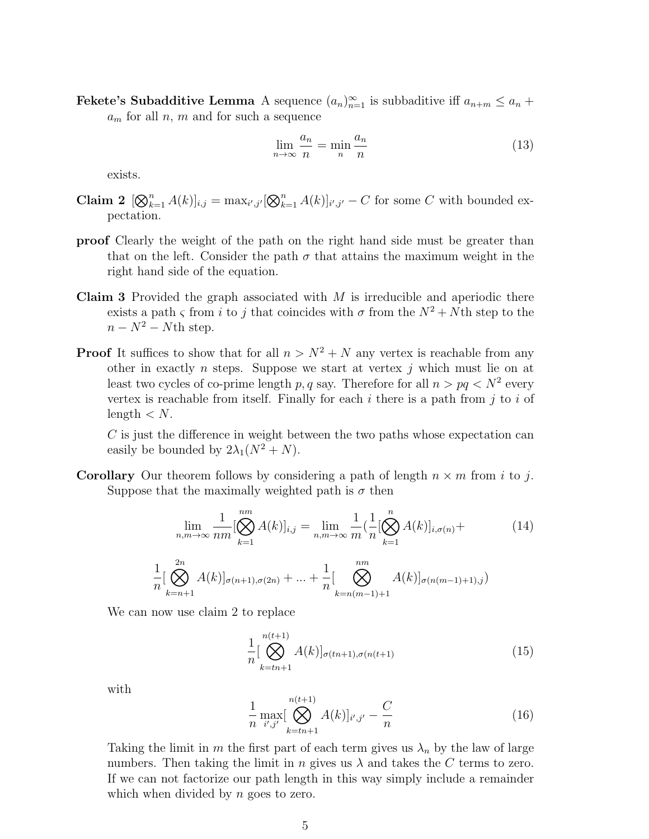**Fekete's Subadditive Lemma** A sequence  $(a_n)_{n=1}^{\infty}$  is subbaditive iff  $a_{n+m} \le a_n +$ 

 $a_m$  for all n, m and for such a sequence

$$
\lim_{n \to \infty} \frac{a_n}{n} = \min_n \frac{a_n}{n}
$$
\n(13)

exists.

- Claim 2  $[\mathcal{A}(k)]_{i,j} = \max_{i',j'} [\mathcal{A}(k)]_{i',j'} C$  for some C with bounded expectation.
- proof Clearly the weight of the path on the right hand side must be greater than that on the left. Consider the path  $\sigma$  that attains the maximum weight in the right hand side of the equation.
- **Claim 3** Provided the graph associated with  $M$  is irreducible and aperiodic there exists a path  $\varsigma$  from i to j that coincides with  $\sigma$  from the  $N^2 + N$ th step to the  $n - N^2 - N$ th step.
- **Proof** It suffices to show that for all  $n > N^2 + N$  any vertex is reachable from any other in exactly *n* steps. Suppose we start at vertex  $j$  which must lie on at least two cycles of co-prime length p, q say. Therefore for all  $n > pq < N^2$  every vertex is reachable from itself. Finally for each  $i$  there is a path from  $j$  to  $i$  of length  $\langle N$ .

C is just the difference in weight between the two paths whose expectation can easily be bounded by  $2\lambda_1(N^2+N)$ .

**Corollary** Our theorem follows by considering a path of length  $n \times m$  from i to j. Suppose that the maximally weighted path is  $\sigma$  then

$$
\lim_{n,m \to \infty} \frac{1}{nm} [\bigotimes_{k=1}^{nm} A(k)]_{i,j} = \lim_{n,m \to \infty} \frac{1}{m} \left( \frac{1}{n} [\bigotimes_{k=1}^{n} A(k)]_{i,\sigma(n)} + \frac{1}{n} [\bigotimes_{k=n+1}^{2n} A(k)]_{\sigma(n+1),\sigma(2n)} + \dots + \frac{1}{n} [\bigotimes_{k=n(m-1)+1}^{nm} A(k)]_{\sigma(n(m-1)+1),j} \right)
$$
(14)

We can now use claim 2 to replace

$$
\frac{1}{n} \left[ \bigotimes_{k=tn+1}^{n(t+1)} A(k) \right]_{\sigma(tn+1), \sigma(n(t+1))}
$$
(15)

with

$$
\frac{1}{n} \max_{i',j'} [\bigotimes_{k=tn+1}^{n(t+1)} A(k)]_{i',j'} - \frac{C}{n}
$$
\n(16)

Taking the limit in m the first part of each term gives us  $\lambda_n$  by the law of large numbers. Then taking the limit in n gives us  $\lambda$  and takes the C terms to zero. If we can not factorize our path length in this way simply include a remainder which when divided by  $n$  goes to zero.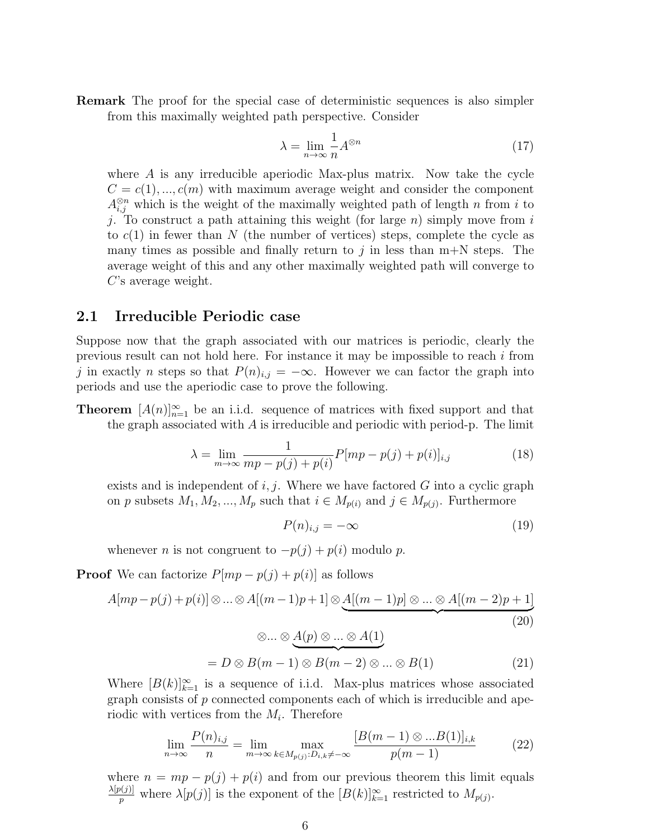Remark The proof for the special case of deterministic sequences is also simpler from this maximally weighted path perspective. Consider

$$
\lambda = \lim_{n \to \infty} \frac{1}{n} A^{\otimes n} \tag{17}
$$

where A is any irreducible aperiodic Max-plus matrix. Now take the cycle  $C = c(1), ..., c(m)$  with maximum average weight and consider the component  $A_{i,j}^{\otimes n}$  which is the weight of the maximally weighted path of length n from i to j. To construct a path attaining this weight (for large  $n$ ) simply move from i to  $c(1)$  in fewer than N (the number of vertices) steps, complete the cycle as many times as possible and finally return to j in less than  $m+N$  steps. The average weight of this and any other maximally weighted path will converge to C's average weight.

#### 2.1 Irreducible Periodic case

Suppose now that the graph associated with our matrices is periodic, clearly the previous result can not hold here. For instance it may be impossible to reach i from j in exactly n steps so that  $P(n)_{i,j} = -\infty$ . However we can factor the graph into periods and use the aperiodic case to prove the following.

**Theorem**  $[A(n)]_{n=1}^{\infty}$  be an i.i.d. sequence of matrices with fixed support and that the graph associated with  $A$  is irreducible and periodic with period-p. The limit

$$
\lambda = \lim_{m \to \infty} \frac{1}{mp - p(j) + p(i)} P[mp - p(j) + p(i)]_{i,j}
$$
(18)

exists and is independent of  $i, j$ . Where we have factored G into a cyclic graph on p subsets  $M_1, M_2, ..., M_p$  such that  $i \in M_{p(i)}$  and  $j \in M_{p(j)}$ . Furthermore

$$
P(n)_{i,j} = -\infty \tag{19}
$$

whenever *n* is not congruent to  $-p(j) + p(i)$  modulo *p*.

**Proof** We can factorize  $P[mp-p(j)+p(i)]$  as follows

$$
A[mp - p(j) + p(i)] \otimes \ldots \otimes A[(m - 1)p + 1] \otimes \underbrace{A[(m - 1)p] \otimes \ldots \otimes A[(m - 2)p + 1]}_{(20)}
$$
\n
$$
(20)
$$

$$
\otimes \dots \otimes \underbrace{A(p) \otimes \dots \otimes A(1)}_{\text{= } D \otimes B(m-1) \otimes B(m-2) \otimes \dots \otimes B(1)} \tag{21}
$$

Where  $[B(k)]_{k=1}^{\infty}$  is a sequence of i.i.d. Max-plus matrices whose associated graph consists of p connected components each of which is irreducible and aperiodic with vertices from the  $M_i$ . Therefore

$$
\lim_{n \to \infty} \frac{P(n)_{i,j}}{n} = \lim_{m \to \infty} \max_{k \in M_{p(j)} : D_{i,k} \neq -\infty} \frac{[B(m-1) \otimes ...B(1)]_{i,k}}{p(m-1)}
$$
(22)

where  $n = mp - p(j) + p(i)$  and from our previous theorem this limit equals  $\lambda[p(j)]$  $p_p^{\nu(j)}$  where  $\lambda[p(j)]$  is the exponent of the  $[B(k)]_{k=1}^{\infty}$  restricted to  $M_{p(j)}$ .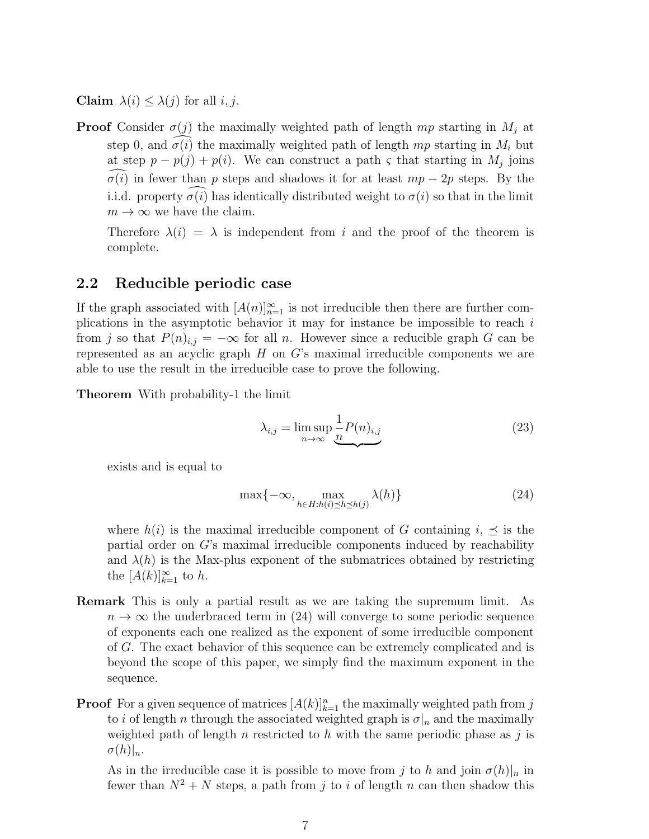Claim  $\lambda(i) \leq \lambda(j)$  for all i, j.

**Proof** Consider  $\sigma(j)$  the maximally weighted path of length mp starting in  $M_j$  at step 0, and  $\sigma(i)$  the maximally weighted path of length mp starting in  $M_i$  but at step  $p - p(j) + p(i)$ . We can construct a path  $\varsigma$  that starting in  $M_j$  joins  $\sigma(i)$  in fewer than p steps and shadows it for at least  $mp - 2p$  steps. By the i.i.d. property  $\sigma(i)$  has identically distributed weight to  $\sigma(i)$  so that in the limit  $m \to \infty$  we have the claim.

Therefore  $\lambda(i) = \lambda$  is independent from i and the proof of the theorem is complete.

#### 2.2 Reducible periodic case

If the graph associated with  $[A(n)]_{n=1}^{\infty}$  is not irreducible then there are further complications in the asymptotic behavior it may for instance be impossible to reach  $i$ from j so that  $P(n)_{i,j} = -\infty$  for all n. However since a reducible graph G can be represented as an acyclic graph  $H$  on  $G$ 's maximal irreducible components we are able to use the result in the irreducible case to prove the following.

Theorem With probability-1 the limit

$$
\lambda_{i,j} = \limsup_{n \to \infty} \underbrace{\frac{1}{n} P(n)_{i,j}}_{\text{max}} \tag{23}
$$

exists and is equal to

$$
\max\{-\infty, \max_{h \in H:h(i) \preceq h \preceq h(j)} \lambda(h)\}\tag{24}
$$

where  $h(i)$  is the maximal irreducible component of G containing  $i, \preceq$  is the partial order on G's maximal irreducible components induced by reachability and  $\lambda(h)$  is the Max-plus exponent of the submatrices obtained by restricting the  $[A(k)]_{k=1}^{\infty}$  to h.

- Remark This is only a partial result as we are taking the supremum limit. As  $n \to \infty$  the underbraced term in (24) will converge to some periodic sequence of exponents each one realized as the exponent of some irreducible component of G. The exact behavior of this sequence can be extremely complicated and is beyond the scope of this paper, we simply find the maximum exponent in the sequence.
- **Proof** For a given sequence of matrices  $[A(k)]_{k=1}^n$  the maximally weighted path from j to i of length n through the associated weighted graph is  $\sigma|_n$  and the maximally weighted path of length n restricted to h with the same periodic phase as j is  $\sigma(h)|_n.$

As in the irreducible case it is possible to move from j to h and join  $\sigma(h)|_n$  in fewer than  $N^2 + N$  steps, a path from j to i of length n can then shadow this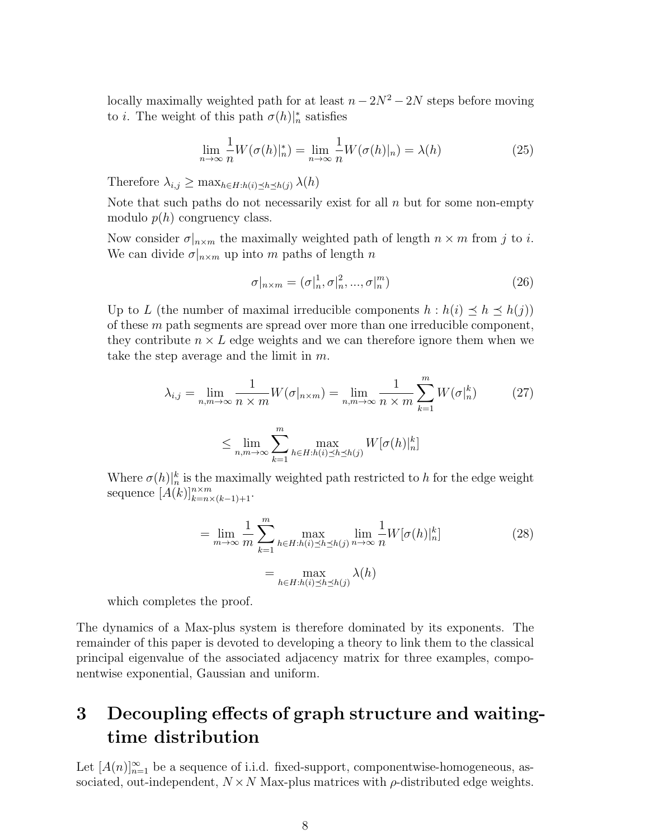locally maximally weighted path for at least  $n - 2N^2 - 2N$  steps before moving to *i*. The weight of this path  $\sigma(h)|_n^*$  satisfies

$$
\lim_{n \to \infty} \frac{1}{n} W(\sigma(h)|_n^*) = \lim_{n \to \infty} \frac{1}{n} W(\sigma(h)|_n) = \lambda(h)
$$
\n(25)

Therefore  $\lambda_{i,j} \geq \max_{h \in H: h(i) \leq h \leq h(j)} \lambda(h)$ 

Note that such paths do not necessarily exist for all  $n$  but for some non-empty modulo  $p(h)$  congruency class.

Now consider  $\sigma|_{n \times m}$  the maximally weighted path of length  $n \times m$  from j to i. We can divide  $\sigma|_{n \times m}$  up into m paths of length n

$$
\sigma|_{n\times m} = (\sigma|_n^1, \sigma|_n^2, ..., \sigma|_n^m)
$$
\n(26)

Up to L (the number of maximal irreducible components  $h : h(i) \preceq h \preceq h(j)$ ) of these  $m$  path segments are spread over more than one irreducible component, they contribute  $n \times L$  edge weights and we can therefore ignore them when we take the step average and the limit in m.

$$
\lambda_{i,j} = \lim_{n,m \to \infty} \frac{1}{n \times m} W(\sigma|_{n \times m}) = \lim_{n,m \to \infty} \frac{1}{n \times m} \sum_{k=1}^{m} W(\sigma|_{n}^{k})
$$
(27)  

$$
\leq \lim_{n,m \to \infty} \sum_{k=1}^{m} \max_{h \in H:h(i) \leq h \leq h(j)} W[\sigma(h)|_{n}^{k}]
$$

Where  $\sigma(h)|_n^k$  is the maximally weighted path restricted to h for the edge weight sequence  $[A(k)]_{k=n\times (k-1)+1}^{n\times m}$ .

$$
= \lim_{m \to \infty} \frac{1}{m} \sum_{k=1}^{m} \max_{h \in H:h(i) \le h \le h(j)} \lim_{n \to \infty} \frac{1}{n} W[\sigma(h)|_n^k]
$$
  

$$
= \max_{h \in H:h(i) \le h \le h(j)} \lambda(h)
$$
 (28)

which completes the proof.

The dynamics of a Max-plus system is therefore dominated by its exponents. The remainder of this paper is devoted to developing a theory to link them to the classical principal eigenvalue of the associated adjacency matrix for three examples, componentwise exponential, Gaussian and uniform.

# 3 Decoupling effects of graph structure and waitingtime distribution

Let  $[A(n)]_{n=1}^{\infty}$  be a sequence of i.i.d. fixed-support, componentwise-homogeneous, associated, out-independent,  $N \times N$  Max-plus matrices with  $\rho$ -distributed edge weights.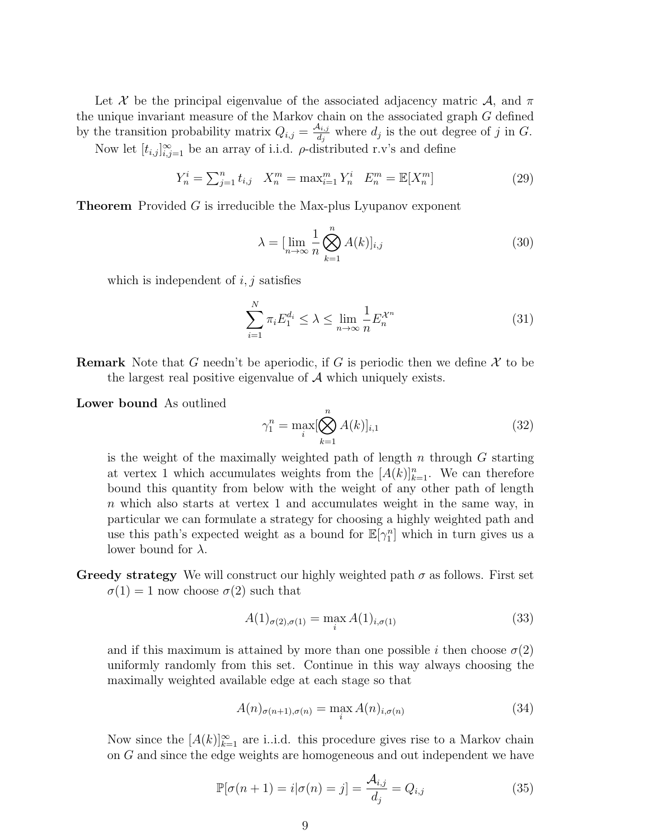Let X be the principal eigenvalue of the associated adjacency matric  $\mathcal{A}$ , and  $\pi$ the unique invariant measure of the Markov chain on the associated graph G defined by the transition probability matrix  $Q_{i,j} = \frac{\mathcal{A}_{i,j}}{d_i}$  $\frac{d_{i,j}}{d_j}$  where  $d_j$  is the out degree of j in G.

Now let  $[t_{i,j}]_{i,j=1}^{\infty}$  be an array of i.i.d.  $\rho$ -distributed r.v's and define

$$
Y_n^i = \sum_{j=1}^n t_{i,j} \quad X_n^m = \max_{i=1}^m Y_n^i \quad E_n^m = \mathbb{E}[X_n^m]
$$
 (29)

Theorem Provided G is irreducible the Max-plus Lyupanov exponent

$$
\lambda = \left[\lim_{n \to \infty} \frac{1}{n} \bigotimes_{k=1}^{n} A(k)\right]_{i,j} \tag{30}
$$

which is independent of  $i, j$  satisfies

$$
\sum_{i=1}^{N} \pi_i E_1^{d_i} \le \lambda \le \lim_{n \to \infty} \frac{1}{n} E_n^{\mathcal{X}^n}
$$
\n(31)

**Remark** Note that G needn't be aperiodic, if G is periodic then we define  $\mathcal{X}$  to be the largest real positive eigenvalue of  $A$  which uniquely exists.

Lower bound As outlined

$$
\gamma_1^n = \max_i [\bigotimes_{k=1}^n A(k)]_{i,1} \tag{32}
$$

is the weight of the maximally weighted path of length n through  $G$  starting at vertex 1 which accumulates weights from the  $[A(k)]_{k=1}^n$ . We can therefore bound this quantity from below with the weight of any other path of length n which also starts at vertex 1 and accumulates weight in the same way, in particular we can formulate a strategy for choosing a highly weighted path and use this path's expected weight as a bound for  $\mathbb{E}[\gamma_1^n]$  which in turn gives us a lower bound for  $\lambda$ .

Greedy strategy We will construct our highly weighted path  $\sigma$  as follows. First set  $\sigma(1) = 1$  now choose  $\sigma(2)$  such that

$$
A(1)_{\sigma(2),\sigma(1)} = \max_{i} A(1)_{i,\sigma(1)} \tag{33}
$$

and if this maximum is attained by more than one possible i then choose  $\sigma(2)$ uniformly randomly from this set. Continue in this way always choosing the maximally weighted available edge at each stage so that

$$
A(n)_{\sigma(n+1),\sigma(n)} = \max_{i} A(n)_{i,\sigma(n)} \tag{34}
$$

Now since the  $[A(k)]_{k=1}^{\infty}$  are i.i.d. this procedure gives rise to a Markov chain on G and since the edge weights are homogeneous and out independent we have

$$
\mathbb{P}[\sigma(n+1) = i | \sigma(n) = j] = \frac{\mathcal{A}_{i,j}}{d_j} = Q_{i,j}
$$
\n(35)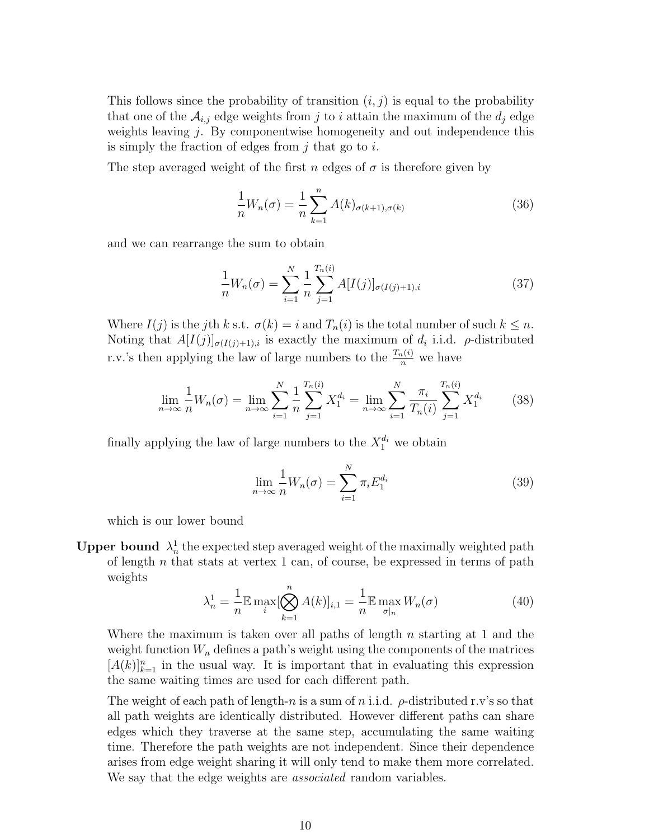This follows since the probability of transition  $(i, j)$  is equal to the probability that one of the  $\mathcal{A}_{i,j}$  edge weights from j to i attain the maximum of the  $d_j$  edge weights leaving j. By componentwise homogeneity and out independence this is simply the fraction of edges from  $i$  that go to  $i$ .

The step averaged weight of the first n edges of  $\sigma$  is therefore given by

$$
\frac{1}{n}W_n(\sigma) = \frac{1}{n} \sum_{k=1}^n A(k)_{\sigma(k+1),\sigma(k)}
$$
(36)

and we can rearrange the sum to obtain

$$
\frac{1}{n}W_n(\sigma) = \sum_{i=1}^N \frac{1}{n} \sum_{j=1}^{T_n(i)} A[I(j)]_{\sigma(I(j)+1),i} \tag{37}
$$

Where  $I(j)$  is the jth k s.t.  $\sigma(k) = i$  and  $T_n(i)$  is the total number of such  $k \leq n$ . Noting that  $A[I(j)]_{\sigma(I(j)+1),i}$  is exactly the maximum of  $d_i$  i.i.d.  $\rho$ -distributed r.v.'s then applying the law of large numbers to the  $\frac{T_n(i)}{n}$  we have

$$
\lim_{n \to \infty} \frac{1}{n} W_n(\sigma) = \lim_{n \to \infty} \sum_{i=1}^N \frac{1}{n} \sum_{j=1}^{T_n(i)} X_1^{d_i} = \lim_{n \to \infty} \sum_{i=1}^N \frac{\pi_i}{T_n(i)} \sum_{j=1}^{T_n(i)} X_1^{d_i}
$$
(38)

finally applying the law of large numbers to the  $X_1^{d_i}$  we obtain

$$
\lim_{n \to \infty} \frac{1}{n} W_n(\sigma) = \sum_{i=1}^N \pi_i E_1^{d_i} \tag{39}
$$

which is our lower bound

Upper bound  $\lambda_n^1$  the expected step averaged weight of the maximally weighted path of length  $n$  that stats at vertex 1 can, of course, be expressed in terms of path weights

$$
\lambda_n^1 = \frac{1}{n} \mathbb{E} \max_i [\bigotimes_{k=1}^n A(k)]_{i,1} = \frac{1}{n} \mathbb{E} \max_{\sigma|n} W_n(\sigma)
$$
(40)

Where the maximum is taken over all paths of length  $n$  starting at 1 and the weight function  $W_n$  defines a path's weight using the components of the matrices  $[A(k)]_{k=1}^n$  in the usual way. It is important that in evaluating this expression the same waiting times are used for each different path.

The weight of each path of length-n is a sum of n i.i.d.  $\rho$ -distributed r.v's so that all path weights are identically distributed. However different paths can share edges which they traverse at the same step, accumulating the same waiting time. Therefore the path weights are not independent. Since their dependence arises from edge weight sharing it will only tend to make them more correlated. We say that the edge weights are *associated* random variables.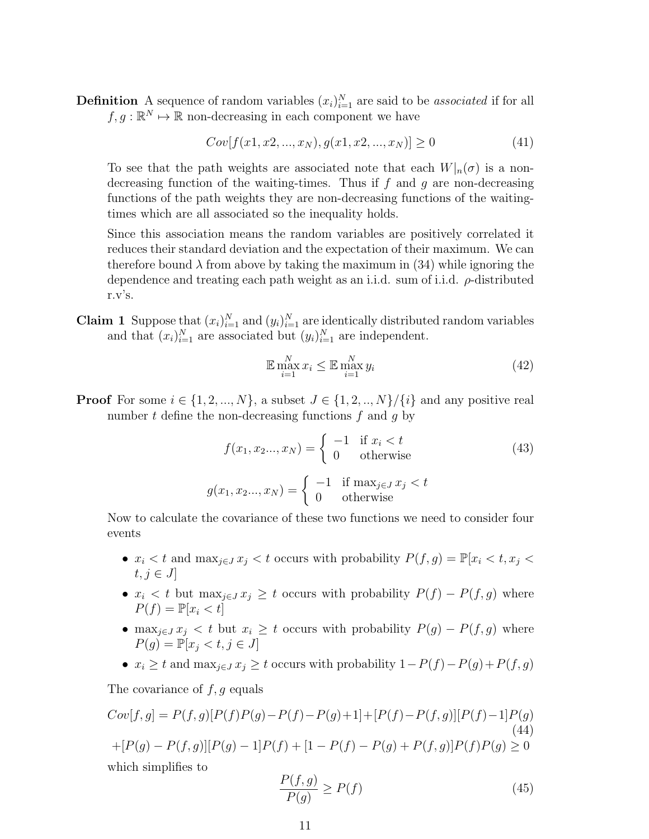**Definition** A sequence of random variables  $(x_i)_{i=1}^N$  are said to be *associated* if for all  $f, g : \mathbb{R}^N \mapsto \mathbb{R}$  non-decreasing in each component we have

 $Cov[f(x_1, x_2, ..., x_N), q(x_1, x_2, ..., x_N)] > 0$  (41)

To see that the path weights are associated note that each  $W|_n(\sigma)$  is a nondecreasing function of the waiting-times. Thus if  $f$  and  $g$  are non-decreasing functions of the path weights they are non-decreasing functions of the waitingtimes which are all associated so the inequality holds.

Since this association means the random variables are positively correlated it reduces their standard deviation and the expectation of their maximum. We can therefore bound  $\lambda$  from above by taking the maximum in (34) while ignoring the dependence and treating each path weight as an i.i.d. sum of i.i.d.  $\rho$ -distributed r.v's.

**Claim 1** Suppose that  $(x_i)_{i=1}^N$  and  $(y_i)_{i=1}^N$  are identically distributed random variables and that  $(x_i)_{i=1}^N$  are associated but  $(y_i)_{i=1}^N$  are independent.

$$
\mathbb{E} \max_{i=1}^{N} x_i \le \mathbb{E} \max_{i=1}^{N} y_i \tag{42}
$$

**Proof** For some  $i \in \{1, 2, ..., N\}$ , a subset  $J \in \{1, 2, ..., N\}/\{i\}$  and any positive real number  $t$  define the non-decreasing functions  $f$  and  $g$  by

$$
f(x_1, x_2..., x_N) = \begin{cases} -1 & \text{if } x_i < t \\ 0 & \text{otherwise} \end{cases}
$$
 (43)  

$$
g(x_1, x_2..., x_N) = \begin{cases} -1 & \text{if } \max_{j \in J} x_j < t \\ 0 & \text{otherwise} \end{cases}
$$

Now to calculate the covariance of these two functions we need to consider four events

- $x_i < t$  and  $\max_{j \in J} x_j < t$  occurs with probability  $P(f,g) = \mathbb{P}[x_i < t, x_j <$  $t, j \in J$
- $x_i < t$  but  $\max_{j \in J} x_j \geq t$  occurs with probability  $P(f) P(f, g)$  where  $P(f) = \mathbb{P}[x_i < t]$
- max $_{j\in J} x_j < t$  but  $x_i \geq t$  occurs with probability  $P(g) P(f, g)$  where  $P(q) = \mathbb{P}[x_i \le t, j \in J]$
- $x_i \geq t$  and  $\max_{j \in J} x_j \geq t$  occurs with probability  $1-P(f)-P(g)+P(f,g)$

The covariance of  $f, g$  equals

$$
Cov[f, g] = P(f, g)[P(f)P(g) - P(f) - P(g) + 1] + [P(f) - P(f, g)][P(f) - 1]P(g)
$$
\n
$$
+ [P(g) - P(f, g)][P(g) - 1]P(f) + [1 - P(f) - P(g) + P(f, g)]P(f)P(g) \ge 0
$$
\nwhich simplifies to

$$
\frac{P(f,g)}{P(g)} \ge P(f) \tag{45}
$$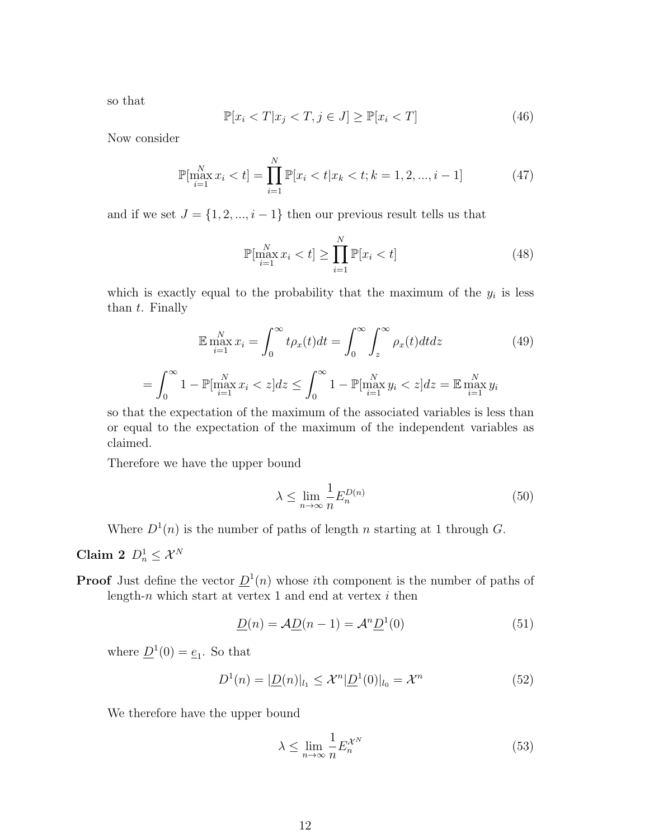so that

$$
\mathbb{P}[x_i < T | x_j < T, j \in J] \ge \mathbb{P}[x_i < T] \tag{46}
$$

Now consider

$$
\mathbb{P}[\max_{i=1}^{N} x_i < t] = \prod_{i=1}^{N} \mathbb{P}[x_i < t | x_k < t; k = 1, 2, \dots, i-1] \tag{47}
$$

and if we set  $J = \{1, 2, ..., i - 1\}$  then our previous result tells us that

$$
\mathbb{P}[\max_{i=1}^{N} x_i < t] \ge \prod_{i=1}^{N} \mathbb{P}[x_i < t] \tag{48}
$$

which is exactly equal to the probability that the maximum of the  $y_i$  is less than t. Finally

$$
\mathbb{E} \max_{i=1}^{N} x_i = \int_0^\infty t \rho_x(t) dt = \int_0^\infty \int_z^\infty \rho_x(t) dt dz \qquad (49)
$$

$$
= \int_0^\infty 1 - \mathbb{P}[\max_{i=1}^{N} x_i < z] dz \le \int_0^\infty 1 - \mathbb{P}[\max_{i=1}^{N} y_i < z] dz = \mathbb{E} \max_{i=1}^{N} y_i
$$

so that the expectation of the maximum of the associated variables is less than or equal to the expectation of the maximum of the independent variables as claimed.

Therefore we have the upper bound

$$
\lambda \le \lim_{n \to \infty} \frac{1}{n} E_n^{D(n)} \tag{50}
$$

Where  $D^1(n)$  is the number of paths of length n starting at 1 through G.

Claim 2  $D_n^1 \leq \mathcal{X}^N$ 

**Proof** Just define the vector  $\underline{D}^1(n)$  whose *i*th component is the number of paths of length-n which start at vertex 1 and end at vertex  $i$  then

$$
\underline{D}(n) = \mathcal{A}\underline{D}(n-1) = \mathcal{A}^n \underline{D}^1(0)
$$
\n(51)

where  $\underline{D}^1(0) = \underline{e}_1$ . So that

$$
D^{1}(n) = |\underline{D}(n)|_{l_{1}} \leq \mathcal{X}^{n} |\underline{D}^{1}(0)|_{l_{0}} = \mathcal{X}^{n}
$$
\n(52)

We therefore have the upper bound

$$
\lambda \le \lim_{n \to \infty} \frac{1}{n} E_n^{\mathcal{X}^N} \tag{53}
$$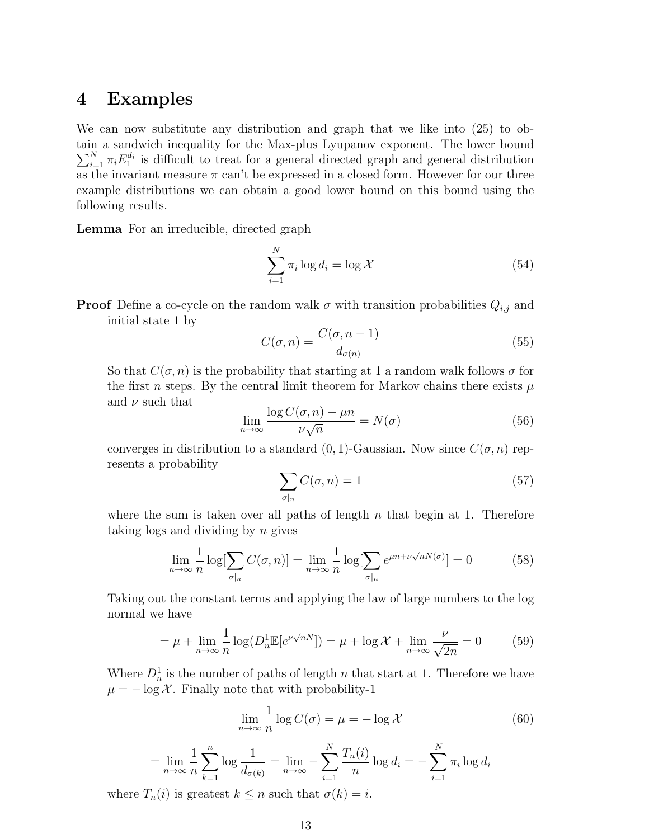### 4 Examples

We can now substitute any distribution and graph that we like into (25) to obtain a sandwich inequality for the Max-plus Lyupanov exponent. The lower bound  $\sum_{i=1}^{N} \pi_i E_1^{d_i}$  is difficult to treat for a general directed graph and general distribution as the invariant measure  $\pi$  can't be expressed in a closed form. However for our three example distributions we can obtain a good lower bound on this bound using the following results.

Lemma For an irreducible, directed graph

$$
\sum_{i=1}^{N} \pi_i \log d_i = \log \mathcal{X}
$$
\n(54)

**Proof** Define a co-cycle on the random walk  $\sigma$  with transition probabilities  $Q_{i,j}$  and initial state 1 by

$$
C(\sigma, n) = \frac{C(\sigma, n-1)}{d_{\sigma(n)}}\tag{55}
$$

So that  $C(\sigma, n)$  is the probability that starting at 1 a random walk follows  $\sigma$  for the first n steps. By the central limit theorem for Markov chains there exists  $\mu$ and  $\nu$  such that

$$
\lim_{n \to \infty} \frac{\log C(\sigma, n) - \mu n}{\nu \sqrt{n}} = N(\sigma) \tag{56}
$$

converges in distribution to a standard  $(0, 1)$ -Gaussian. Now since  $C(\sigma, n)$  represents a probability

$$
\sum_{\sigma|n} C(\sigma, n) = 1 \tag{57}
$$

where the sum is taken over all paths of length  $n$  that begin at 1. Therefore taking logs and dividing by  $n$  gives

$$
\lim_{n \to \infty} \frac{1}{n} \log \left[ \sum_{\sigma | n} C(\sigma, n) \right] = \lim_{n \to \infty} \frac{1}{n} \log \left[ \sum_{\sigma | n} e^{\mu n + \nu \sqrt{n} N(\sigma)} \right] = 0 \tag{58}
$$

Taking out the constant terms and applying the law of large numbers to the log normal we have

$$
= \mu + \lim_{n \to \infty} \frac{1}{n} \log(D_n^1 \mathbb{E}[e^{\nu \sqrt{n}N}]) = \mu + \log \mathcal{X} + \lim_{n \to \infty} \frac{\nu}{\sqrt{2n}} = 0 \tag{59}
$$

Where  $D_n^1$  is the number of paths of length n that start at 1. Therefore we have  $\mu = -\log \mathcal{X}$ . Finally note that with probability-1

$$
\lim_{n \to \infty} \frac{1}{n} \log C(\sigma) = \mu = -\log \mathcal{X}
$$
\n(60)

$$
= \lim_{n \to \infty} \frac{1}{n} \sum_{k=1}^{n} \log \frac{1}{d_{\sigma(k)}} = \lim_{n \to \infty} - \sum_{i=1}^{N} \frac{T_n(i)}{n} \log d_i = -\sum_{i=1}^{N} \pi_i \log d_i
$$

where  $T_n(i)$  is greatest  $k \leq n$  such that  $\sigma(k) = i$ .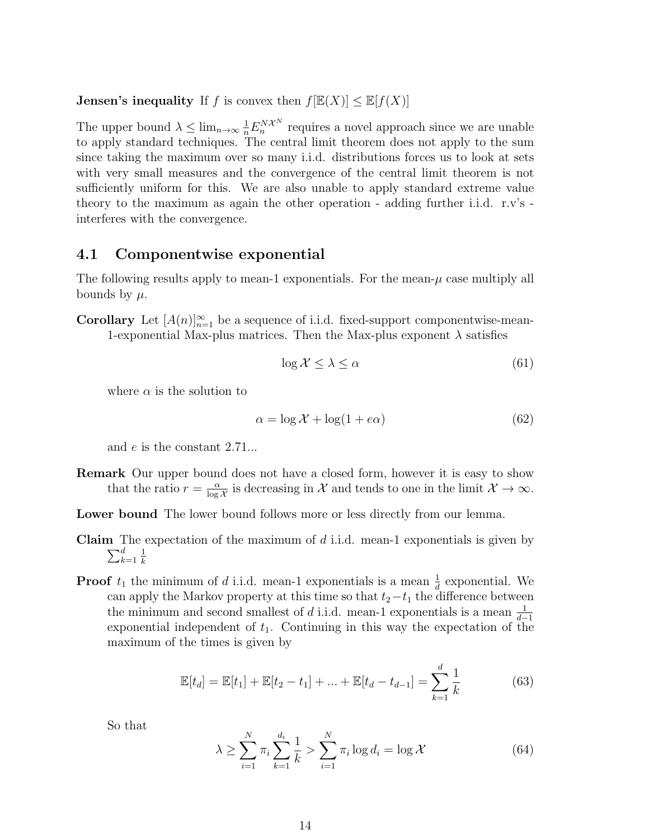**Jensen's inequality** If f is convex then  $f[\mathbb{E}(X)] < \mathbb{E}[f(X)]$ 

The upper bound  $\lambda \leq \lim_{n \to \infty} \frac{1}{n} E_n^{N\mathcal{X}^N}$  requires a novel approach since we are unable to apply standard techniques. The central limit theorem does not apply to the sum since taking the maximum over so many i.i.d. distributions forces us to look at sets with very small measures and the convergence of the central limit theorem is not sufficiently uniform for this. We are also unable to apply standard extreme value theory to the maximum as again the other operation - adding further i.i.d. r.v's interferes with the convergence.

#### 4.1 Componentwise exponential

The following results apply to mean-1 exponentials. For the mean- $\mu$  case multiply all bounds by  $\mu$ .

**Corollary** Let  $[A(n)]_{n=1}^{\infty}$  be a sequence of i.i.d. fixed-support componentwise-mean-1-exponential Max-plus matrices. Then the Max-plus exponent  $\lambda$  satisfies

$$
\log \mathcal{X} \le \lambda \le \alpha \tag{61}
$$

where  $\alpha$  is the solution to

$$
\alpha = \log \mathcal{X} + \log(1 + e\alpha) \tag{62}
$$

and e is the constant 2.71...

Remark Our upper bound does not have a closed form, however it is easy to show that the ratio  $r = \frac{\alpha}{\log n}$  $\frac{\alpha}{\log \mathcal{X}}$  is decreasing in X and tends to one in the limit  $\mathcal{X} \to \infty$ .

Lower bound The lower bound follows more or less directly from our lemma.

- **Claim** The expectation of the maximum of  $d$  i.i.d. mean-1 exponentials is given by  $\sum_{k}^{d}$  $_{k=1}$ 1 k
- **Proof**  $t_1$  the minimum of d i.i.d. mean-1 exponentials is a mean  $\frac{1}{d}$  exponential. We can apply the Markov property at this time so that  $t_2-t_1$  the difference between the minimum and second smallest of d i.i.d. mean-1 exponentials is a mean  $\frac{1}{d-1}$ exponential independent of  $t_1$ . Continuing in this way the expectation of the maximum of the times is given by

$$
\mathbb{E}[t_d] = \mathbb{E}[t_1] + \mathbb{E}[t_2 - t_1] + \dots + \mathbb{E}[t_d - t_{d-1}] = \sum_{k=1}^d \frac{1}{k}
$$
 (63)

So that

$$
\lambda \ge \sum_{i=1}^{N} \pi_i \sum_{k=1}^{d_i} \frac{1}{k} > \sum_{i=1}^{N} \pi_i \log d_i = \log \mathcal{X}
$$
 (64)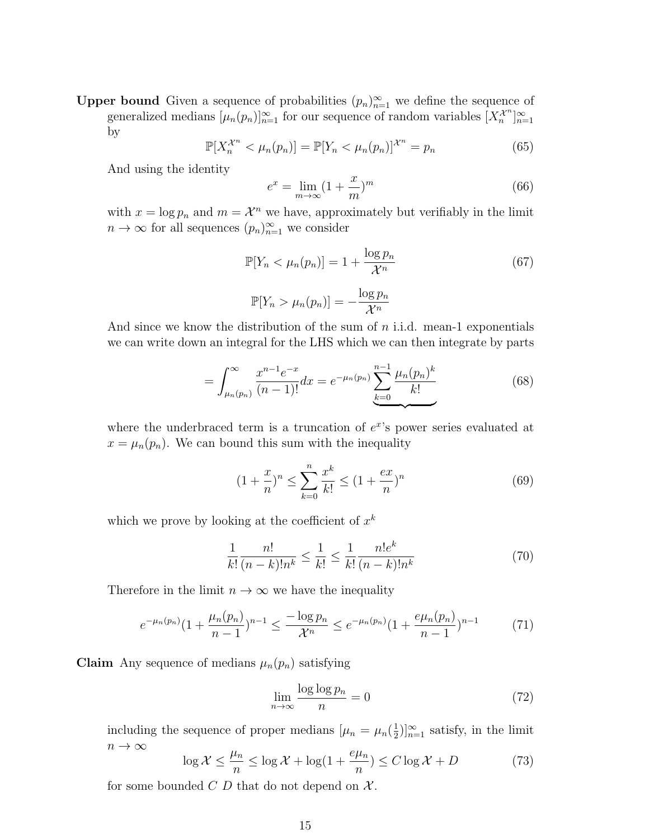**Upper bound** Given a sequence of probabilities  $(p_n)_{n=1}^{\infty}$  we define the sequence of generalized medians  $[\mu_n(p_n)]_{n=1}^{\infty}$  for our sequence of random variables  $[X_n^{\mathcal{X}^n}]_{n=1}^{\infty}$ by

$$
\mathbb{P}[X_n^{\mathcal{X}^n} < \mu_n(p_n)] = \mathbb{P}[Y_n < \mu_n(p_n)]^{\mathcal{X}^n} = p_n \tag{65}
$$

And using the identity

$$
e^x = \lim_{m \to \infty} \left(1 + \frac{x}{m}\right)^m \tag{66}
$$

with  $x = \log p_n$  and  $m = \mathcal{X}^n$  we have, approximately but verifiably in the limit  $n \to \infty$  for all sequences  $(p_n)_{n=1}^{\infty}$  we consider

$$
\mathbb{P}[Y_n < \mu_n(p_n)] = 1 + \frac{\log p_n}{\mathcal{X}^n}
$$
\n
$$
\mathbb{P}[Y_n > \mu_n(p_n)] = -\frac{\log p_n}{\mathcal{X}^n} \tag{67}
$$

And since we know the distribution of the sum of  $n$  i.i.d. mean-1 exponentials we can write down an integral for the LHS which we can then integrate by parts

$$
= \int_{\mu_n(p_n)}^{\infty} \frac{x^{n-1}e^{-x}}{(n-1)!} dx = e^{-\mu_n(p_n)} \sum_{k=0}^{n-1} \frac{\mu_n(p_n)^k}{k!}
$$
(68)

where the underbraced term is a truncation of  $e^x$ 's power series evaluated at  $x = \mu_n(p_n)$ . We can bound this sum with the inequality

$$
(1 + \frac{x}{n})^n \le \sum_{k=0}^n \frac{x^k}{k!} \le (1 + \frac{ex}{n})^n
$$
 (69)

which we prove by looking at the coefficient of  $x^k$ 

$$
\frac{1}{k!} \frac{n!}{(n-k)!n^k} \le \frac{1}{k!} \le \frac{1}{k!} \frac{n!e^k}{(n-k)!n^k}
$$
\n(70)

Therefore in the limit  $n \to \infty$  we have the inequality

$$
e^{-\mu_n(p_n)}(1+\frac{\mu_n(p_n)}{n-1})^{n-1} \le \frac{-\log p_n}{\mathcal{X}^n} \le e^{-\mu_n(p_n)}(1+\frac{e\mu_n(p_n)}{n-1})^{n-1} \tag{71}
$$

**Claim** Any sequence of medians  $\mu_n(p_n)$  satisfying

$$
\lim_{n \to \infty} \frac{\log \log p_n}{n} = 0 \tag{72}
$$

including the sequence of proper medians  $\mu_n = \mu_n(\frac{1}{2})$  $(\frac{1}{2})_{n=1}^{\infty}$  satisfy, in the limit  $n \to \infty$ 

$$
\log \mathcal{X} \le \frac{\mu_n}{n} \le \log \mathcal{X} + \log(1 + \frac{e\mu_n}{n}) \le C \log \mathcal{X} + D \tag{73}
$$

for some bounded  $C$  D that do not depend on  $\mathcal{X}$ .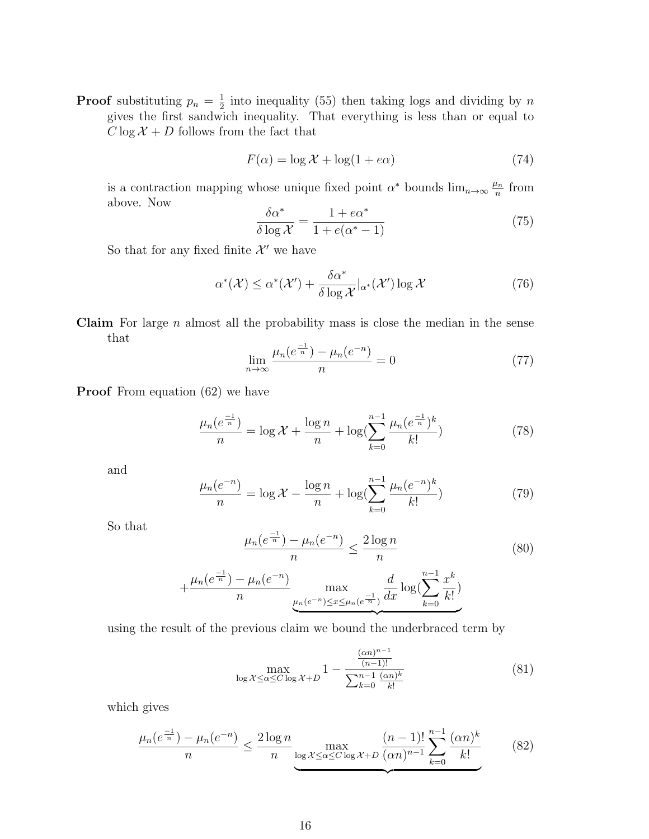**Proof** substituting  $p_n = \frac{1}{2}$  $\frac{1}{2}$  into inequality (55) then taking logs and dividing by n gives the first sandwich inequality. That everything is less than or equal to  $C \log \mathcal{X} + D$  follows from the fact that

$$
F(\alpha) = \log \mathcal{X} + \log(1 + e\alpha) \tag{74}
$$

is a contraction mapping whose unique fixed point  $\alpha^*$  bounds  $\lim_{n\to\infty} \frac{\mu_n}{n}$  $\frac{\iota_n}{n}$  from above. Now

$$
\frac{\delta \alpha^*}{\delta \log \mathcal{X}} = \frac{1 + e\alpha^*}{1 + e(\alpha^* - 1)}\tag{75}
$$

So that for any fixed finite  $\mathcal{X}'$  we have

$$
\alpha^*(\mathcal{X}) \le \alpha^*(\mathcal{X}') + \frac{\delta \alpha^*}{\delta \log \mathcal{X}}|_{\alpha^*}(\mathcal{X}') \log \mathcal{X}
$$
 (76)

**Claim** For large  $n$  almost all the probability mass is close the median in the sense that

$$
\lim_{n \to \infty} \frac{\mu_n(e^{\frac{-1}{n}}) - \mu_n(e^{-n})}{n} = 0 \tag{77}
$$

**Proof** From equation (62) we have

$$
\frac{\mu_n(e^{\frac{-1}{n}})}{n} = \log \mathcal{X} + \frac{\log n}{n} + \log(\sum_{k=0}^{n-1} \frac{\mu_n(e^{\frac{-1}{n}})^k}{k!})
$$
(78)

and

$$
\frac{\mu_n(e^{-n})}{n} = \log \mathcal{X} - \frac{\log n}{n} + \log(\sum_{k=0}^{n-1} \frac{\mu_n(e^{-n})^k}{k!})
$$
(79)

So that

$$
\frac{\mu_n(e^{\frac{-1}{n}}) - \mu_n(e^{-n})}{n} \le \frac{2\log n}{n}
$$
\n(80)

$$
+\frac{\mu_n(e^{\frac{-1}{n}}) - \mu_n(e^{-n})}{n} \max_{\mu_n(e^{-n}) \le x \le \mu_n(e^{\frac{-1}{n}})} \frac{d}{dx} \log(\sum_{k=0}^{n-1} \frac{x^k}{k!})
$$

using the result of the previous claim we bound the underbraced term by

$$
\max_{\log \mathcal{X} \le \alpha \le C \log \mathcal{X} + D} 1 - \frac{\frac{(\alpha n)^{n-1}}{(n-1)!}}{\sum_{k=0}^{n-1} \frac{(\alpha n)^k}{k!}}
$$
(81)

which gives

$$
\frac{\mu_n(e^{\frac{-1}{n}}) - \mu_n(e^{-n})}{n} \le \frac{2\log n}{n} \max_{\log x \le \alpha \le C \log x + D} \frac{(n-1)!}{(\alpha n)^{n-1}} \sum_{k=0}^{n-1} \frac{(\alpha n)^k}{k!}
$$
(82)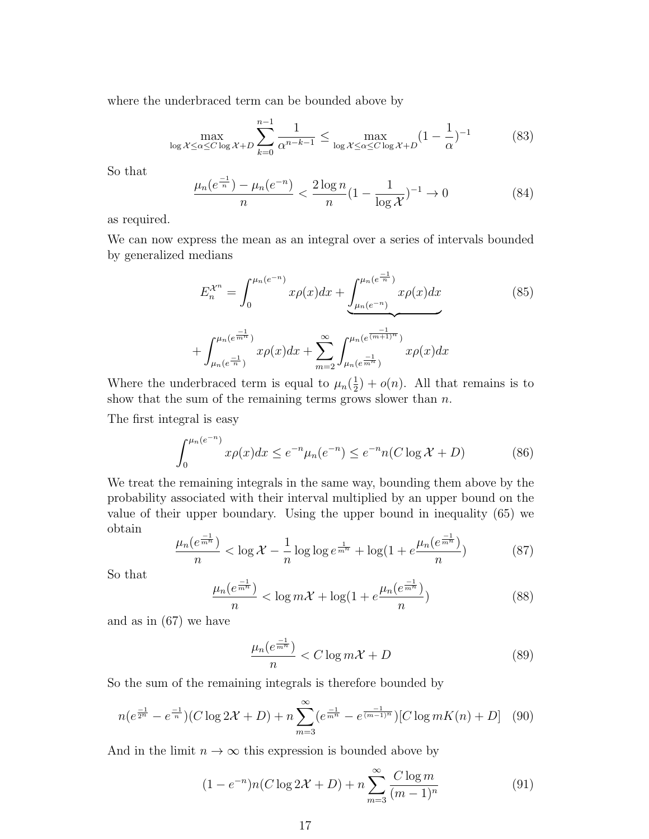where the underbraced term can be bounded above by

$$
\max_{\log \mathcal{X} \le \alpha \le C \log \mathcal{X} + D} \sum_{k=0}^{n-1} \frac{1}{\alpha^{n-k-1}} \le \max_{\log \mathcal{X} \le \alpha \le C \log \mathcal{X} + D} (1 - \frac{1}{\alpha})^{-1}
$$
(83)

So that

$$
\frac{\mu_n(e^{\frac{-1}{n}}) - \mu_n(e^{-n})}{n} < \frac{2\log n}{n} \left(1 - \frac{1}{\log \mathcal{X}}\right)^{-1} \to 0 \tag{84}
$$

as required.

We can now express the mean as an integral over a series of intervals bounded by generalized medians

$$
E_n^{\mathcal{X}^n} = \int_0^{\mu_n(e^{-n})} x \rho(x) dx + \underbrace{\int_{\mu_n(e^{-n})}^{\mu_n(e^{\frac{-1}{n}})} x \rho(x) dx}_{+ \underbrace{\int_{\mu_n(e^{-n})}^{\mu_n(e^{-n})}}_{m=2}^{\infty} \int_{\mu_n(e^{\frac{-1}{m+1})}}^{\mu_n(e^{\frac{-1}{m+1})}} x \rho(x) dx}
$$
\n
$$
(85)
$$

Where the underbraced term is equal to  $\mu_n(\frac{1}{2})$  $(\frac{1}{2}) + o(n)$ . All that remains is to show that the sum of the remaining terms grows slower than  $n$ .

The first integral is easy

$$
\int_0^{\mu_n(e^{-n})} x \rho(x) dx \le e^{-n} \mu_n(e^{-n}) \le e^{-n} n(C \log \mathcal{X} + D)
$$
 (86)

We treat the remaining integrals in the same way, bounding them above by the probability associated with their interval multiplied by an upper bound on the value of their upper boundary. Using the upper bound in inequality (65) we obtain

$$
\frac{\mu_n(e^{\frac{-1}{m^n}})}{n} < \log \mathcal{X} - \frac{1}{n} \log \log e^{\frac{1}{m^n}} + \log(1 + e^{\frac{\mu_n(e^{\frac{-1}{m^n}})}{n}}) \tag{87}
$$

So that

$$
\frac{\mu_n(e^{\frac{-1}{m^n}})}{n} < \log m\mathcal{X} + \log(1 + e^{\frac{\mu_n(e^{\frac{-1}{m^n}})}{n})\tag{88}
$$

and as in (67) we have

$$
\frac{\mu_n(e^{\frac{-1}{m^n}})}{n} < C \log m\mathcal{X} + D \tag{89}
$$

So the sum of the remaining integrals is therefore bounded by

$$
n(e^{\frac{-1}{2^n}} - e^{\frac{-1}{n}})(C \log 2\mathcal{X} + D) + n \sum_{m=3}^{\infty} (e^{\frac{-1}{m^n}} - e^{\frac{-1}{(m-1)^n}})[C \log mK(n) + D] \quad (90)
$$

And in the limit  $n \to \infty$  this expression is bounded above by

$$
(1 - e^{-n})n(C \log 2\mathcal{X} + D) + n \sum_{m=3}^{\infty} \frac{C \log m}{(m-1)^n}
$$
(91)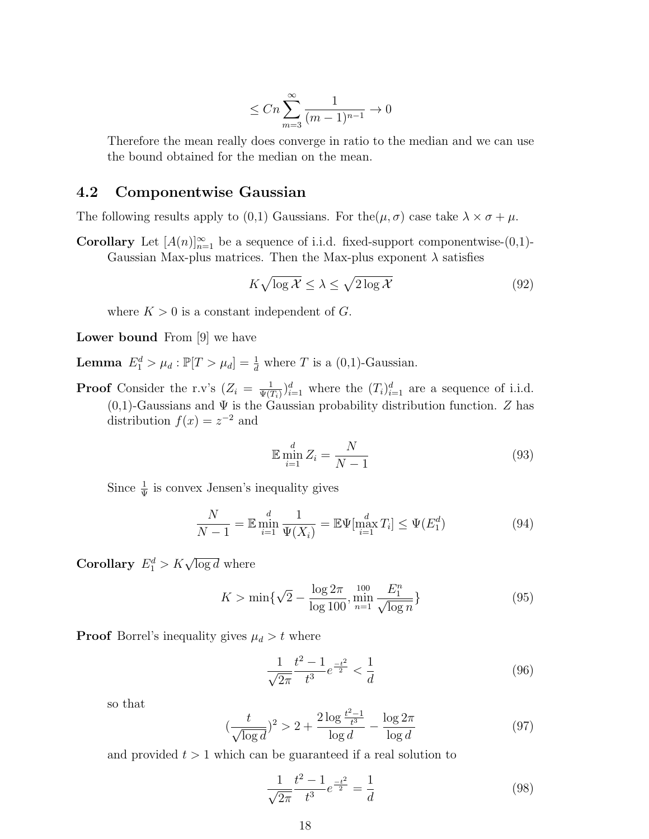$$
\leq Cn\sum_{m=3}^{\infty}\frac{1}{(m-1)^{n-1}}\to 0
$$

Therefore the mean really does converge in ratio to the median and we can use the bound obtained for the median on the mean.

#### 4.2 Componentwise Gaussian

The following results apply to (0,1) Gaussians. For the  $(\mu, \sigma)$  case take  $\lambda \times \sigma + \mu$ .

**Corollary** Let  $[A(n)]_{n=1}^{\infty}$  be a sequence of i.i.d. fixed-support componentwise-(0,1)-Gaussian Max-plus matrices. Then the Max-plus exponent  $\lambda$  satisfies

$$
K\sqrt{\log\mathcal{X}} \le \lambda \le \sqrt{2\log\mathcal{X}}\tag{92}
$$

where  $K > 0$  is a constant independent of G.

Lower bound From [9] we have

**Lemma**  $E_1^d > \mu_d : \mathbb{P}[T > \mu_d] = \frac{1}{d}$  where T is a (0,1)-Gaussian.

**Proof** Consider the r.v's  $(Z_i = \frac{1}{\Psi(i)}$  $\frac{1}{\Psi(T_i)}\big)_{i=1}^d$  where the  $(T_i)_{i=1}^d$  are a sequence of i.i.d.  $(0,1)$ -Gaussians and  $\Psi$  is the Gaussian probability distribution function. Z has distribution  $f(x) = z^{-2}$  and

$$
\mathbb{E}\min_{i=1}^d Z_i = \frac{N}{N-1} \tag{93}
$$

Since  $\frac{1}{\Psi}$  is convex Jensen's inequality gives

$$
\frac{N}{N-1} = \mathbb{E} \min_{i=1}^d \frac{1}{\Psi(X_i)} = \mathbb{E} \Psi[\max_{i=1}^d T_i] \le \Psi(E_1^d)
$$
(94)

**Corollary**  $E_1^d > K \sqrt{\log d}$  where

$$
K > \min\{\sqrt{2} - \frac{\log 2\pi}{\log 100}, \min_{n=1}^{\infty} \frac{E_1^n}{\sqrt{\log n}}\}\
$$
\n(95)

**Proof** Borrel's inequality gives  $\mu_d > t$  where

$$
\frac{1}{\sqrt{2\pi}} \frac{t^2 - 1}{t^3} e^{\frac{-t^2}{2}} < \frac{1}{d} \tag{96}
$$

so that

$$
\left(\frac{t}{\sqrt{\log d}}\right)^2 > 2 + \frac{2\log\frac{t^2 - 1}{t^3}}{\log d} - \frac{\log 2\pi}{\log d} \tag{97}
$$

and provided  $t > 1$  which can be guaranteed if a real solution to

$$
\frac{1}{\sqrt{2\pi}}\frac{t^2 - 1}{t^3}e^{\frac{-t^2}{2}} = \frac{1}{d}
$$
\n(98)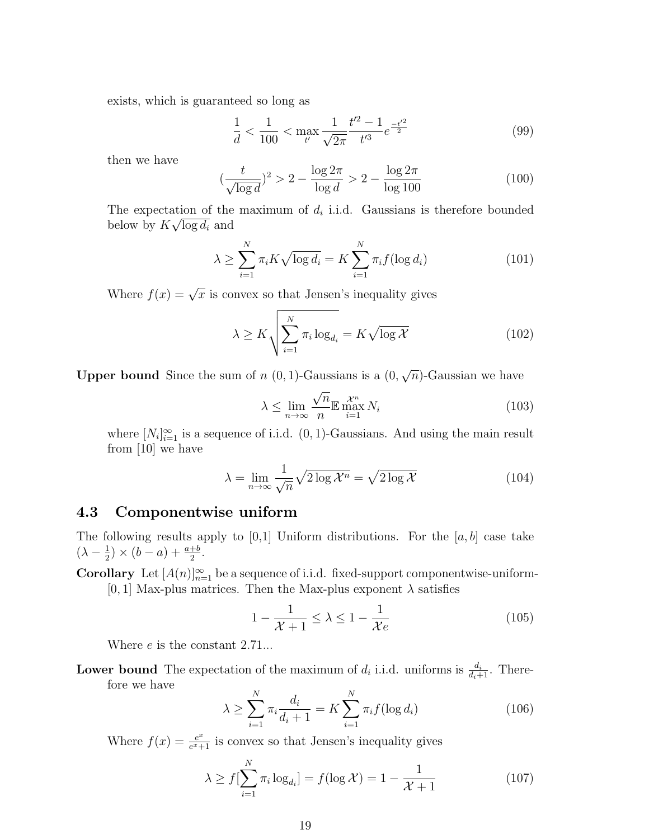exists, which is guaranteed so long as

$$
\frac{1}{d} < \frac{1}{100} < \max_{t'} \frac{1}{\sqrt{2\pi}} \frac{t'^2 - 1}{t'^3} e^{\frac{-t'^2}{2}} \tag{99}
$$

then we have

$$
(\frac{t}{\sqrt{\log d}})^2 > 2 - \frac{\log 2\pi}{\log d} > 2 - \frac{\log 2\pi}{\log 100}
$$
 (100)

The expectation of the maximum of  $d_i$  i.i.d. Gaussians is therefore bounded below by  $K\sqrt{\log d_i}$  and

$$
\lambda \ge \sum_{i=1}^{N} \pi_i K \sqrt{\log d_i} = K \sum_{i=1}^{N} \pi_i f(\log d_i)
$$
 (101)

Where  $f(x) = \sqrt{x}$  is convex so that Jensen's inequality gives

$$
\lambda \ge K \sqrt{\sum_{i=1}^{N} \pi_i \log_{d_i}} = K \sqrt{\log \mathcal{X}}
$$
 (102)

**Upper bound** Since the sum of  $n(0, 1)$ -Gaussians is a  $(0, 1)$ √  $\overline{n}$ )-Gaussian we have

$$
\lambda \le \lim_{n \to \infty} \frac{\sqrt{n}}{n} \mathbb{E} \max_{i=1}^{X^n} N_i
$$
\n(103)

where  $[N_i]_{i=1}^{\infty}$  is a sequence of i.i.d.  $(0, 1)$ -Gaussians. And using the main result from [10] we have

$$
\lambda = \lim_{n \to \infty} \frac{1}{\sqrt{n}} \sqrt{2 \log \mathcal{X}^n} = \sqrt{2 \log \mathcal{X}}
$$
(104)

#### 4.3 Componentwise uniform

The following results apply to [0,1] Uniform distributions. For the  $[a, b]$  case take  $(\lambda - \frac{1}{2})$  $(\frac{1}{2}) \times (b-a) + \frac{a+b}{2}.$ 

**Corollary** Let  $[A(n)]_{n=1}^{\infty}$  be a sequence of i.i.d. fixed-support componentwise-uniform- $[0, 1]$  Max-plus matrices. Then the Max-plus exponent  $\lambda$  satisfies

$$
1 - \frac{1}{\mathcal{X} + 1} \le \lambda \le 1 - \frac{1}{\mathcal{X}e}
$$
\n<sup>(105)</sup>

Where *e* is the constant 2.71...

**Lower bound** The expectation of the maximum of  $d_i$  i.i.d. uniforms is  $\frac{d_i}{d_i+1}$ . Therefore we have

$$
\lambda \ge \sum_{i=1}^{N} \pi_i \frac{d_i}{d_i + 1} = K \sum_{i=1}^{N} \pi_i f(\log d_i)
$$
 (106)

Where  $f(x) = \frac{e^x}{e^x + x}$  $\frac{e^x}{e^x+1}$  is convex so that Jensen's inequality gives

$$
\lambda \ge f[\sum_{i=1}^{N} \pi_i \log_{d_i}] = f(\log \mathcal{X}) = 1 - \frac{1}{\mathcal{X} + 1}
$$
\n(107)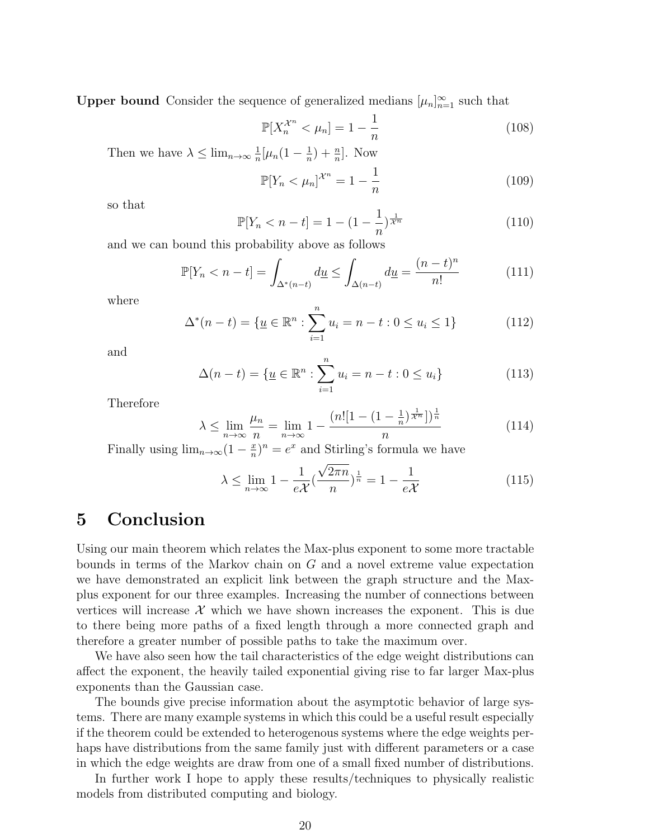**Upper bound** Consider the sequence of generalized medians  $[\mu_n]_{n=1}^{\infty}$  such that

$$
\mathbb{P}[X_n^{\mathcal{X}^n} < \mu_n] = 1 - \frac{1}{n} \tag{108}
$$

Then we have  $\lambda \leq \lim_{n\to\infty} \frac{1}{n}$  $\frac{1}{n}[\mu_n(1-\frac{1}{n}% )\mu_{n-1}(1-\frac{1}{n}% )]$  $(\frac{1}{n}) + \frac{n}{n}$ . Now

$$
\mathbb{P}[Y_n < \mu_n]^{\mathcal{X}^n} = 1 - \frac{1}{n} \tag{109}
$$

so that

$$
\mathbb{P}[Y_n < n-t] = 1 - (1 - \frac{1}{n})^{\frac{1}{\mathcal{X}^n}}\tag{110}
$$

and we can bound this probability above as follows

$$
\mathbb{P}[Y_n < n - t] = \int_{\Delta^*(n-t)} d\underline{u} \le \int_{\Delta(n-t)} d\underline{u} = \frac{(n-t)^n}{n!} \tag{111}
$$

where

$$
\Delta^*(n-t) = \{ \underline{u} \in \mathbb{R}^n : \sum_{i=1}^n u_i = n-t : 0 \le u_i \le 1 \}
$$
 (112)

and

$$
\Delta(n-t) = \{ \underline{u} \in \mathbb{R}^n : \sum_{i=1}^n u_i = n-t : 0 \le u_i \}
$$
 (113)

Therefore

$$
\lambda \le \lim_{n \to \infty} \frac{\mu_n}{n} = \lim_{n \to \infty} 1 - \frac{(n! [1 - (1 - \frac{1}{n})^{\frac{1}{\mathcal{X}^n}}])^{\frac{1}{n}}}{n}
$$
(114)

Finally using  $\lim_{n\to\infty}(1-\frac{x}{n})$  $(\frac{x}{n})^n = e^x$  and Stirling's formula we have

$$
\lambda \le \lim_{n \to \infty} 1 - \frac{1}{e\mathcal{X}} \left(\frac{\sqrt{2\pi n}}{n}\right)^{\frac{1}{n}} = 1 - \frac{1}{e\mathcal{X}}
$$
(115)

## 5 Conclusion

Using our main theorem which relates the Max-plus exponent to some more tractable bounds in terms of the Markov chain on G and a novel extreme value expectation we have demonstrated an explicit link between the graph structure and the Maxplus exponent for our three examples. Increasing the number of connections between vertices will increase  $\mathcal X$  which we have shown increases the exponent. This is due to there being more paths of a fixed length through a more connected graph and therefore a greater number of possible paths to take the maximum over.

We have also seen how the tail characteristics of the edge weight distributions can affect the exponent, the heavily tailed exponential giving rise to far larger Max-plus exponents than the Gaussian case.

The bounds give precise information about the asymptotic behavior of large systems. There are many example systems in which this could be a useful result especially if the theorem could be extended to heterogenous systems where the edge weights perhaps have distributions from the same family just with different parameters or a case in which the edge weights are draw from one of a small fixed number of distributions.

In further work I hope to apply these results/techniques to physically realistic models from distributed computing and biology.